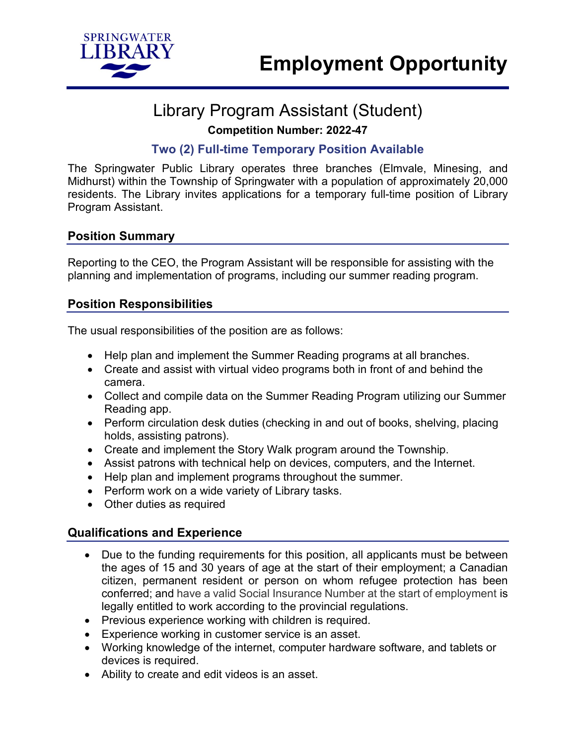

# Library Program Assistant (Student) **Competition Number: 2022-47**

### **Two (2) Full-time Temporary Position Available**

The Springwater Public Library operates three branches (Elmvale, Minesing, and Midhurst) within the Township of Springwater with a population of approximately 20,000 residents. The Library invites applications for a temporary full-time position of Library Program Assistant.

#### **Position Summary**

Reporting to the CEO, the Program Assistant will be responsible for assisting with the planning and implementation of programs, including our summer reading program.

### **Position Responsibilities**

The usual responsibilities of the position are as follows:

- Help plan and implement the Summer Reading programs at all branches.
- Create and assist with virtual video programs both in front of and behind the camera.
- Collect and compile data on the Summer Reading Program utilizing our Summer Reading app.
- Perform circulation desk duties (checking in and out of books, shelving, placing holds, assisting patrons).
- Create and implement the Story Walk program around the Township.
- Assist patrons with technical help on devices, computers, and the Internet.
- Help plan and implement programs throughout the summer.
- Perform work on a wide variety of Library tasks.
- Other duties as required

### **Qualifications and Experience**

- Due to the funding requirements for this position, all applicants must be between the ages of 15 and 30 years of age at the start of their employment; a Canadian citizen, permanent resident or person on whom refugee protection has been conferred; and have a valid Social Insurance Number at the start of employment is legally entitled to work according to the provincial regulations.
- Previous experience working with children is required.
- Experience working in customer service is an asset.
- Working knowledge of the internet, computer hardware software, and tablets or devices is required.
- Ability to create and edit videos is an asset.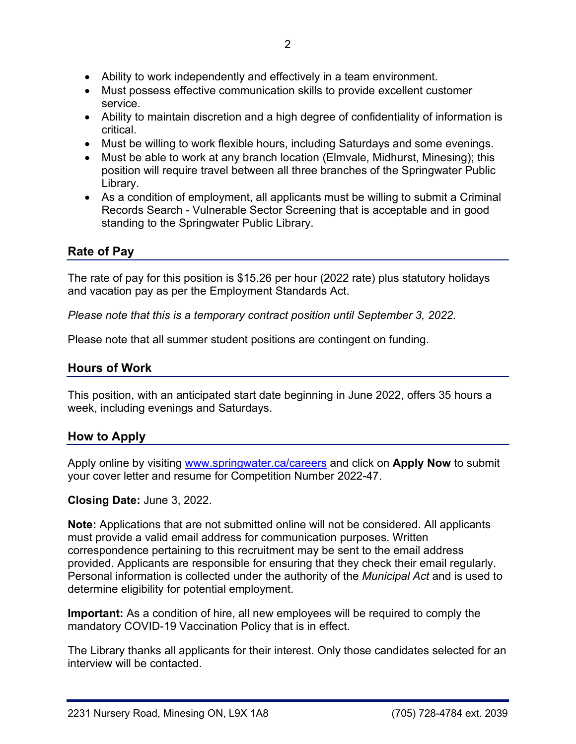- Ability to work independently and effectively in a team environment.
- Must possess effective communication skills to provide excellent customer service.
- Ability to maintain discretion and a high degree of confidentiality of information is critical.
- Must be willing to work flexible hours, including Saturdays and some evenings.
- Must be able to work at any branch location (Elmvale, Midhurst, Minesing); this position will require travel between all three branches of the Springwater Public Library.
- As a condition of employment, all applicants must be willing to submit a Criminal Records Search - Vulnerable Sector Screening that is acceptable and in good standing to the Springwater Public Library.

# **Rate of Pay**

The rate of pay for this position is \$15.26 per hour (2022 rate) plus statutory holidays and vacation pay as per the Employment Standards Act.

*Please note that this is a temporary contract position until September 3, 2022.*

Please note that all summer student positions are contingent on funding.

## **Hours of Work**

This position, with an anticipated start date beginning in June 2022, offers 35 hours a week, including evenings and Saturdays.

### **How to Apply**

Apply online by visiting [www.springwater.ca/careers](http://www.springwater.ca/careers) and click on **Apply Now** to submit your cover letter and resume for Competition Number 2022-47.

### **Closing Date:** June 3, 2022.

**Note:** Applications that are not submitted online will not be considered. All applicants must provide a valid email address for communication purposes. Written correspondence pertaining to this recruitment may be sent to the email address provided. Applicants are responsible for ensuring that they check their email regularly. Personal information is collected under the authority of the *Municipal Act* and is used to determine eligibility for potential employment.

**Important:** As a condition of hire, all new employees will be required to comply the mandatory COVID-19 Vaccination Policy that is in effect.

The Library thanks all applicants for their interest. Only those candidates selected for an interview will be contacted.